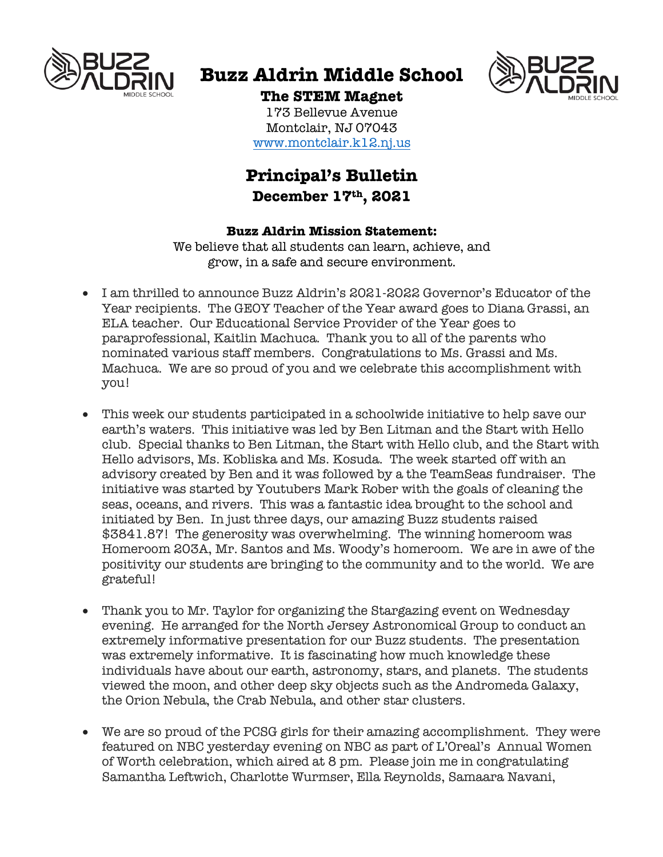

# **Buzz Aldrin Middle School**



**The STEM Magnet** 173 Bellevue Avenue

Montclair, NJ 07043 www.montclair.k12.nj.us

## **Principal's Bulletin December 17th, 2021**

### **Buzz Aldrin Mission Statement:**

We believe that all students can learn, achieve, and grow, in a safe and secure environment.

- I am thrilled to announce Buzz Aldrin's 2021-2022 Governor's Educator of the Year recipients. The GEOY Teacher of the Year award goes to Diana Grassi, an ELA teacher. Our Educational Service Provider of the Year goes to paraprofessional, Kaitlin Machuca. Thank you to all of the parents who nominated various staff members. Congratulations to Ms. Grassi and Ms. Machuca. We are so proud of you and we celebrate this accomplishment with you!
- This week our students participated in a schoolwide initiative to help save our earth's waters. This initiative was led by Ben Litman and the Start with Hello club. Special thanks to Ben Litman, the Start with Hello club, and the Start with Hello advisors, Ms. Kobliska and Ms. Kosuda. The week started off with an advisory created by Ben and it was followed by a the TeamSeas fundraiser. The initiative was started by Youtubers Mark Rober with the goals of cleaning the seas, oceans, and rivers. This was a fantastic idea brought to the school and initiated by Ben. In just three days, our amazing Buzz students raised \$3841.87! The generosity was overwhelming. The winning homeroom was Homeroom 203A, Mr. Santos and Ms. Woody's homeroom. We are in awe of the positivity our students are bringing to the community and to the world. We are grateful!
- Thank you to Mr. Taylor for organizing the Stargazing event on Wednesday evening. He arranged for the North Jersey Astronomical Group to conduct an extremely informative presentation for our Buzz students. The presentation was extremely informative. It is fascinating how much knowledge these individuals have about our earth, astronomy, stars, and planets. The students viewed the moon, and other deep sky objects such as the Andromeda Galaxy, the Orion Nebula, the Crab Nebula, and other star clusters.
- We are so proud of the PCSG girls for their amazing accomplishment. They were featured on NBC yesterday evening on NBC as part of L'Oreal's Annual Women of Worth celebration, which aired at 8 pm. Please join me in congratulating Samantha Leftwich, Charlotte Wurmser, Ella Reynolds, Samaara Navani,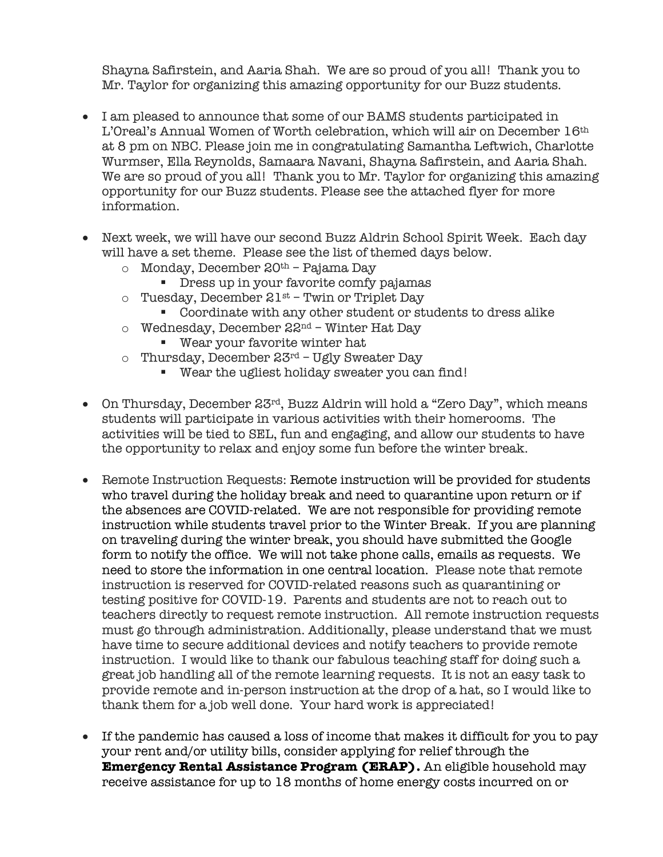Shayna Safirstein, and Aaria Shah. We are so proud of you all! Thank you to Mr. Taylor for organizing this amazing opportunity for our Buzz students.

- I am pleased to announce that some of our BAMS students participated in L'Oreal's Annual Women of Worth celebration, which will air on December 16th at 8 pm on NBC. Please join me in congratulating Samantha Leftwich, Charlotte Wurmser, Ella Reynolds, Samaara Navani, Shayna Safirstein, and Aaria Shah. We are so proud of you all! Thank you to Mr. Taylor for organizing this amazing opportunity for our Buzz students. Please see the attached flyer for more information.
- Next week, we will have our second Buzz Aldrin School Spirit Week. Each day will have a set theme. Please see the list of themed days below.
	- o Monday, December 20th Pajama Day
		- Dress up in your favorite comfy pajamas
	- $\circ$  Tuesday, December 21st Twin or Triplet Day
		- Coordinate with any other student or students to dress alike
	- $\circ$  Wednesday, December 22<sup>nd</sup> Winter Hat Day
		- Wear your favorite winter hat
	- $\circ$  Thursday, December 23rd Ugly Sweater Day
		- Wear the ugliest holiday sweater you can find!
- On Thursday, December 23<sup>rd</sup>, Buzz Aldrin will hold a "Zero Day", which means students will participate in various activities with their homerooms. The activities will be tied to SEL, fun and engaging, and allow our students to have the opportunity to relax and enjoy some fun before the winter break.
- Remote Instruction Requests: Remote instruction will be provided for students who travel during the holiday break and need to quarantine upon return or if the absences are COVID-related. We are not responsible for providing remote instruction while students travel prior to the Winter Break. If you are planning on traveling during the winter break, you should have submitted the Google form to notify the office. We will not take phone calls, emails as requests. We need to store the information in one central location. Please note that remote instruction is reserved for COVID-related reasons such as quarantining or testing positive for COVID-19. Parents and students are not to reach out to teachers directly to request remote instruction. All remote instruction requests must go through administration. Additionally, please understand that we must have time to secure additional devices and notify teachers to provide remote instruction. I would like to thank our fabulous teaching staff for doing such a great job handling all of the remote learning requests. It is not an easy task to provide remote and in-person instruction at the drop of a hat, so I would like to thank them for a job well done. Your hard work is appreciated!
- If the pandemic has caused a loss of income that makes it difficult for you to pay your rent and/or utility bills, consider applying for relief through the **Emergency Rental Assistance Program (ERAP).** An eligible household may receive assistance for up to 18 months of home energy costs incurred on or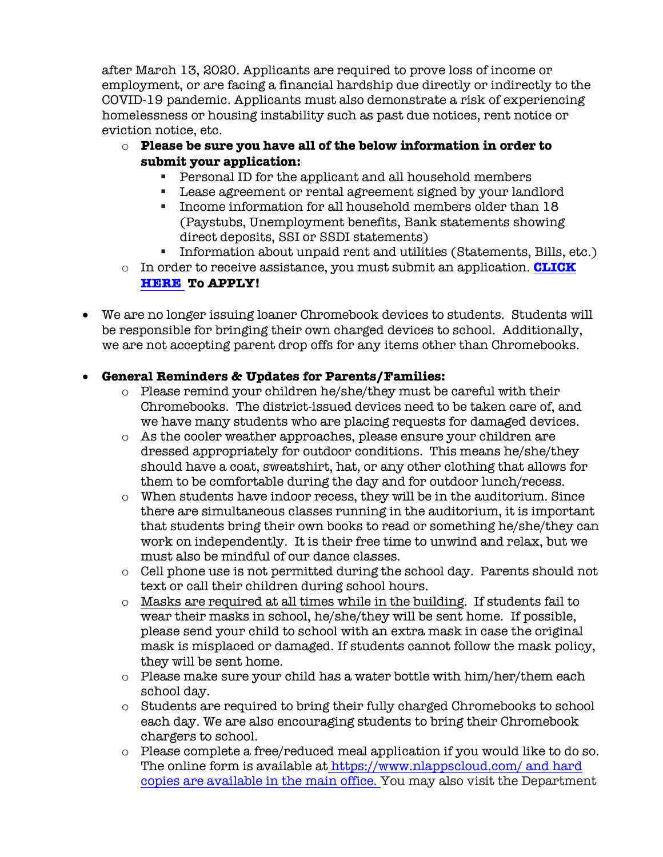after March 13, 2020. Applicants are required to prove loss of income or employment, or are facing a financial hardship due directly or indirectly to the COVID-19 pandemic. Applicants must also demonstrate a risk of experiencing homelessness or housing instability such as past due notices, rent notice or eviction notice, etc.

- o **Please be sure you have all of the below information in order to submit your application:**
	- Personal ID for the applicant and all household members
	- § Lease agreement or rental agreement signed by your landlord
	- § Income information for all household members older than 18 (Paystubs, Unemployment benefits, Bank statements showing direct deposits, SSI or SSDI statements)
	- § Information about unpaid rent and utilities (Statements, Bills, etc.)
- o In order to receive assistance, you must submit an application. **CLICK HERE To APPLY!**
- We are no longer issuing loaner Chromebook devices to students. Students will be responsible for bringing their own charged devices to school. Additionally, we are not accepting parent drop offs for any items other than Chromebooks.

## • **General Reminders & Updates for Parents/Families:**

- $\circ$  Please remind your children he/she/they must be careful with their Chromebooks. The district-issued devices need to be taken care of, and we have many students who are placing requests for damaged devices.
- o As the cooler weather approaches, please ensure your children are dressed appropriately for outdoor conditions. This means he/she/they should have a coat, sweatshirt, hat, or any other clothing that allows for them to be comfortable during the day and for outdoor lunch/recess.
- o When students have indoor recess, they will be in the auditorium. Since there are simultaneous classes running in the auditorium, it is important that students bring their own books to read or something he/she/they can work on independently. It is their free time to unwind and relax, but we must also be mindful of our dance classes.
- o Cell phone use is not permitted during the school day. Parents should not text or call their children during school hours.
- o Masks are required at all times while in the building. If students fail to wear their masks in school, he/she/they will be sent home. If possible, please send your child to school with an extra mask in case the original mask is misplaced or damaged. If students cannot follow the mask policy, they will be sent home.
- $\circ$  Please make sure your child has a water bottle with him/her/them each school day.
- o Students are required to bring their fully charged Chromebooks to school each day. We are also encouraging students to bring their Chromebook chargers to school.
- o Please complete a free/reduced meal application if you would like to do so. The online form is available at https://www.nlappscloud.com/ and hard copies are available in the main office. You may also visit the Department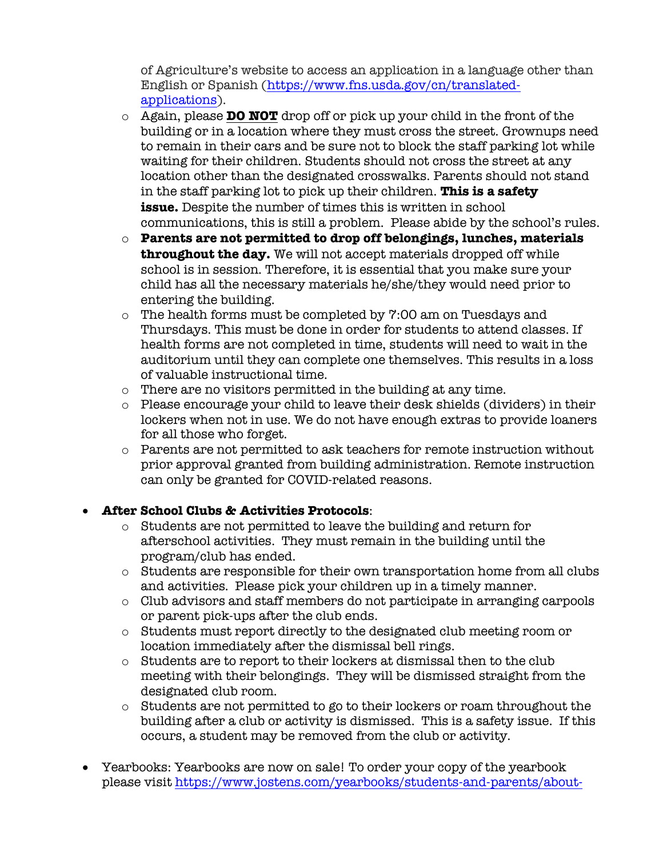of Agriculture's website to access an application in a language other than English or Spanish (https://www.fns.usda.gov/cn/translatedapplications).

- o Again, please **DO NOT** drop off or pick up your child in the front of the building or in a location where they must cross the street. Grownups need to remain in their cars and be sure not to block the staff parking lot while waiting for their children. Students should not cross the street at any location other than the designated crosswalks. Parents should not stand in the staff parking lot to pick up their children. **This is a safety issue.** Despite the number of times this is written in school communications, this is still a problem. Please abide by the school's rules.
- o **Parents are not permitted to drop off belongings, lunches, materials throughout the day.** We will not accept materials dropped off while school is in session. Therefore, it is essential that you make sure your child has all the necessary materials he/she/they would need prior to entering the building.
- o The health forms must be completed by 7:00 am on Tuesdays and Thursdays. This must be done in order for students to attend classes. If health forms are not completed in time, students will need to wait in the auditorium until they can complete one themselves. This results in a loss of valuable instructional time.
- o There are no visitors permitted in the building at any time.
- o Please encourage your child to leave their desk shields (dividers) in their lockers when not in use. We do not have enough extras to provide loaners for all those who forget.
- o Parents are not permitted to ask teachers for remote instruction without prior approval granted from building administration. Remote instruction can only be granted for COVID-related reasons.

## • **After School Clubs & Activities Protocols**:

- o Students are not permitted to leave the building and return for afterschool activities. They must remain in the building until the program/club has ended.
- o Students are responsible for their own transportation home from all clubs and activities. Please pick your children up in a timely manner.
- o Club advisors and staff members do not participate in arranging carpools or parent pick-ups after the club ends.
- o Students must report directly to the designated club meeting room or location immediately after the dismissal bell rings.
- o Students are to report to their lockers at dismissal then to the club meeting with their belongings. They will be dismissed straight from the designated club room.
- o Students are not permitted to go to their lockers or roam throughout the building after a club or activity is dismissed. This is a safety issue. If this occurs, a student may be removed from the club or activity.
- Yearbooks: Yearbooks are now on sale! To order your copy of the yearbook please visit https://www.jostens.com/yearbooks/students-and-parents/about-